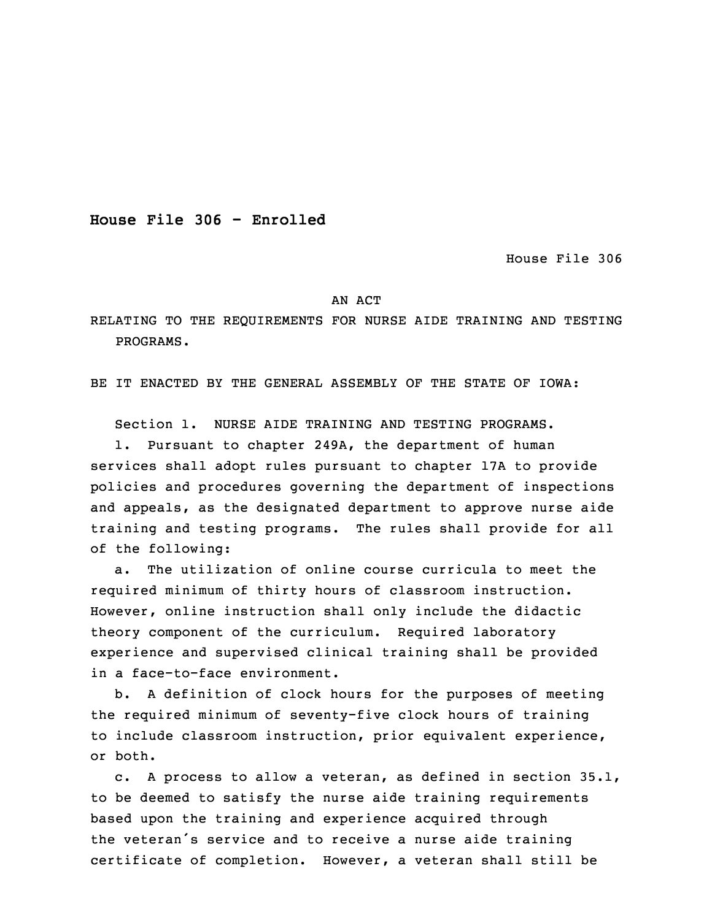**House File 306 - Enrolled**

House File 306

## AN ACT

RELATING TO THE REQUIREMENTS FOR NURSE AIDE TRAINING AND TESTING PROGRAMS.

BE IT ENACTED BY THE GENERAL ASSEMBLY OF THE STATE OF IOWA:

Section 1. NURSE AIDE TRAINING AND TESTING PROGRAMS.

 1. Pursuant to chapter 249A, the department of human services shall adopt rules pursuant to chapter 17A to provide policies and procedures governing the department of inspections and appeals, as the designated department to approve nurse aide training and testing programs. The rules shall provide for all of the following:

a. The utilization of online course curricula to meet the required minimum of thirty hours of classroom instruction. 10 However, online instruction shall only include the didactic theory component of the curriculum. Required laboratory experience and supervised clinical training shall be provided in a face-to-face environment.

 b. <sup>A</sup> definition of clock hours for the purposes of meeting the required minimum of seventy-five clock hours of training to include classroom instruction, prior equivalent experience, or both.

c. A process to allow a veteran, as defined in section  $35.1$ , to be deemed to satisfy the nurse aide training requirements based upon the training and experience acquired through the veteran's service and to receive <sup>a</sup> nurse aide training certificate of completion. However, <sup>a</sup> veteran shall still be